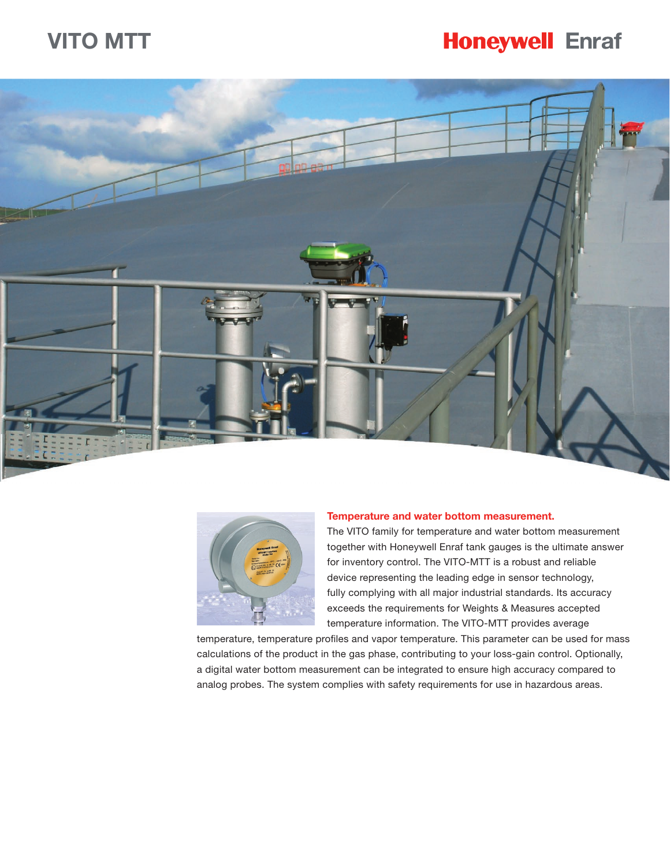# **VITO MTT**

# **Honeywell Enraf**





#### **Temperature and water bottom measurement.**

The VITO family for temperature and water bottom measurement together with Honeywell Enraf tank gauges is the ultimate answer for inventory control. The VITO-MTT is a robust and reliable device representing the leading edge in sensor technology, fully complying with all major industrial standards. Its accuracy exceeds the requirements for Weights & Measures accepted temperature information. The VITO-MTT provides average

temperature, temperature profiles and vapor temperature. This parameter can be used for mass calculations of the product in the gas phase, contributing to your loss-gain control. Optionally, a digital water bottom measurement can be integrated to ensure high accuracy compared to analog probes. The system complies with safety requirements for use in hazardous areas.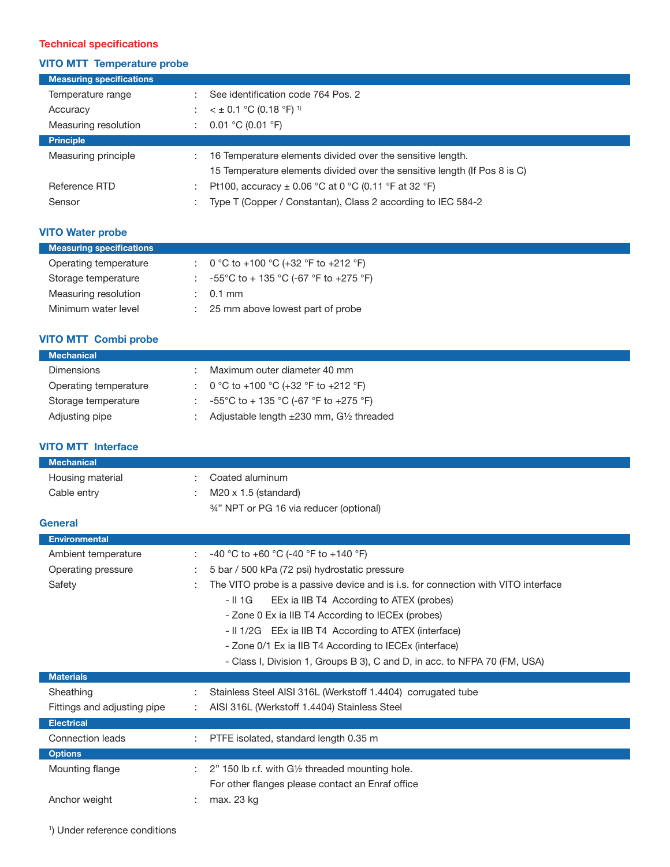## **Technical specifications**

## **VITO MTT Temperature probe**

| <b>Measuring specifications</b> |                                                                           |
|---------------------------------|---------------------------------------------------------------------------|
| Temperature range               | See identification code 764 Pos. 2                                        |
| Accuracy                        | $<$ ± 0.1 °C (0.18 °F) <sup>1)</sup>                                      |
| Measuring resolution            | 0.01 °C (0.01 °F)                                                         |
| <b>Principle</b>                |                                                                           |
| Measuring principle             | 16 Temperature elements divided over the sensitive length.                |
|                                 | 15 Temperature elements divided over the sensitive length (If Pos 8 is C) |
| Reference RTD                   | Pt100, accuracy $\pm$ 0.06 °C at 0 °C (0.11 °F at 32 °F)                  |
| Sensor                          | Type T (Copper / Constantan), Class 2 according to IEC 584-2              |

## **VITO Water probe**

| : $0^{\circ}$ C to +100 $^{\circ}$ C (+32 $^{\circ}$ F to +212 $^{\circ}$ F)<br>Operating temperature<br>-55°C to + 135 °C (-67 °F to +275 °F)<br>Storage temperature<br>Measuring resolution<br>$0.1$ mm | <b>Measuring specifications</b> |                                  |
|-----------------------------------------------------------------------------------------------------------------------------------------------------------------------------------------------------------|---------------------------------|----------------------------------|
|                                                                                                                                                                                                           |                                 |                                  |
|                                                                                                                                                                                                           |                                 |                                  |
|                                                                                                                                                                                                           |                                 |                                  |
|                                                                                                                                                                                                           | Minimum water level             | 25 mm above lowest part of probe |

## **VITO MTT Combi probe**

| <b>Mechanical</b>     |                                                         |
|-----------------------|---------------------------------------------------------|
| <b>Dimensions</b>     | Maximum outer diameter 40 mm                            |
| Operating temperature | : $0 °C$ to +100 $°C$ (+32 $°F$ to +212 $°F$ )          |
| Storage temperature   | -55°C to + 135 °C (-67 °F to +275 °F)                   |
| Adjusting pipe        | Adjustable length $\pm 230$ mm, $G\frac{1}{2}$ threaded |

## **VITO MTT Interface**

| <b>Mechanical</b>           |                                                                                   |
|-----------------------------|-----------------------------------------------------------------------------------|
| Housing material            | Coated aluminum                                                                   |
| Cable entry                 | $M20 \times 1.5$ (standard)                                                       |
|                             | 34" NPT or PG 16 via reducer (optional)                                           |
| <b>General</b>              |                                                                                   |
| <b>Environmental</b>        |                                                                                   |
| Ambient temperature         | -40 °C to +60 °C (-40 °F to +140 °F)                                              |
| Operating pressure          | 5 bar / 500 kPa (72 psi) hydrostatic pressure                                     |
| Safety                      | The VITO probe is a passive device and is i.s. for connection with VITO interface |
|                             | - II 1G<br>EEx ia IIB T4 According to ATEX (probes)                               |
|                             | - Zone 0 Ex ia IIB T4 According to IECEx (probes)                                 |
|                             | - II 1/2G EEx ia IIB T4 According to ATEX (interface)                             |
|                             | - Zone 0/1 Ex ia IIB T4 According to IECEx (interface)                            |
|                             | - Class I, Division 1, Groups B 3), C and D, in acc. to NFPA 70 (FM, USA)         |
| <b>Materials</b>            |                                                                                   |
| Sheathing                   | Stainless Steel AISI 316L (Werkstoff 1.4404) corrugated tube                      |
| Fittings and adjusting pipe | AISI 316L (Werkstoff 1.4404) Stainless Steel                                      |
| <b>Electrical</b>           |                                                                                   |
| Connection leads            | PTFE isolated, standard length 0.35 m                                             |
| <b>Options</b>              |                                                                                   |
| Mounting flange             | 2" 150 lb r.f. with G1/2 threaded mounting hole.<br>÷.                            |
|                             | For other flanges please contact an Enraf office                                  |
| Anchor weight               | max. 23 kg                                                                        |
|                             |                                                                                   |

1 ) Under reference conditions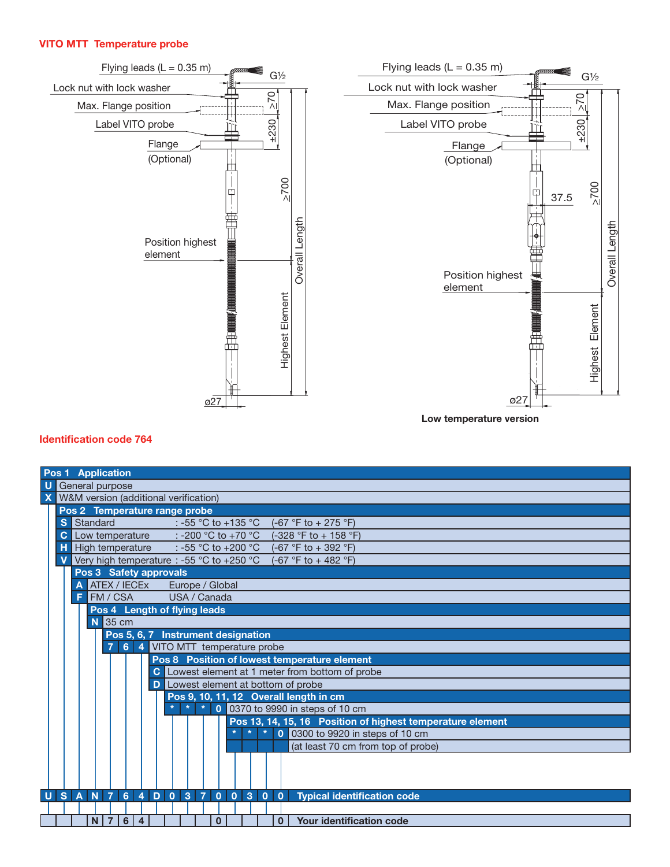#### **VITO MTT Temperature probe**





**Low temperature version**

## **Identification code 764**

| <b>Pos 1 Application</b>                                                                                                                                                                                  |  |
|-----------------------------------------------------------------------------------------------------------------------------------------------------------------------------------------------------------|--|
| U<br>General purpose                                                                                                                                                                                      |  |
| <b>X</b> W&M version (additional verification)                                                                                                                                                            |  |
| Pos 2 Temperature range probe                                                                                                                                                                             |  |
| S<br>Standard<br>: -55 °C to +135 °C<br>$(-67 \degree F to + 275 \degree F)$                                                                                                                              |  |
| Low temperature $\therefore$ -200 °C to +70 °C<br>$\mathbf{C}$<br>$(-328 °F to + 158 °F)$                                                                                                                 |  |
| н<br>High temperature $\therefore$ -55 °C to +200 °C<br>$(-67 °F to + 392 °F)$                                                                                                                            |  |
| Very high temperature : -55 °C to +250 °C<br>$\mathbf v$<br>$(-67 °F to + 482 °F)$                                                                                                                        |  |
| Pos 3 Safety approvals                                                                                                                                                                                    |  |
| <b>ATEX / IECEX</b><br>A<br>Europe / Global                                                                                                                                                               |  |
| <b>FM / CSA</b><br>USA / Canada<br>F                                                                                                                                                                      |  |
| Pos 4 Length of flying leads                                                                                                                                                                              |  |
| $N$ 35 cm                                                                                                                                                                                                 |  |
| Pos 5, 6, 7 Instrument designation                                                                                                                                                                        |  |
| 6 4 VITO MTT temperature probe<br>$\overline{7}$                                                                                                                                                          |  |
| Pos 8 Position of lowest temperature element                                                                                                                                                              |  |
| Lowest element at 1 meter from bottom of probe                                                                                                                                                            |  |
| <b>D</b> Lowest element at bottom of probe                                                                                                                                                                |  |
| Pos 9, 10, 11, 12 Overall length in cm                                                                                                                                                                    |  |
| $\star$<br>$\star$<br>$\star$<br>0 0370 to 9990 in steps of 10 cm                                                                                                                                         |  |
| Pos 13, 14, 15, 16 Position of highest temperature element                                                                                                                                                |  |
| $\star$<br>$\star$<br>$\star$<br>0300 to 9920 in steps of 10 cm<br>$\mathbf{0}$                                                                                                                           |  |
| (at least 70 cm from top of probe)                                                                                                                                                                        |  |
|                                                                                                                                                                                                           |  |
|                                                                                                                                                                                                           |  |
|                                                                                                                                                                                                           |  |
| $\overline{7}$<br>$D$ 0 3<br>$\overline{7}$<br> s <br>N<br>$\bullet$<br>$0 \mid 3$<br>$\overline{A}$<br>6<br>$\overline{4}$<br>$\overline{0}$<br><b>Typical identification code</b><br>$\mathbf{0}$<br>U. |  |
|                                                                                                                                                                                                           |  |
| $\overline{7}$<br>6<br>Your identification code<br>N.<br>$\overline{4}$<br>$\mathbf{0}$<br>$\Omega$                                                                                                       |  |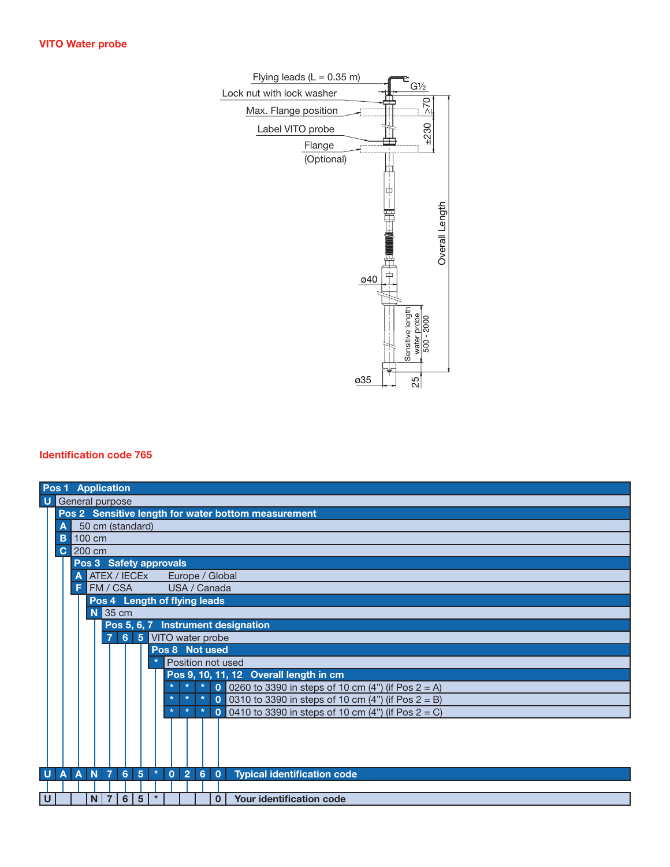

## **Identification code 765**

| Pos 1 Application        |            |                  |              |   |   |                         |                              |         |         |                |                 |                                                       |
|--------------------------|------------|------------------|--------------|---|---|-------------------------|------------------------------|---------|---------|----------------|-----------------|-------------------------------------------------------|
| <b>U</b> General purpose |            |                  |              |   |   |                         |                              |         |         |                |                 |                                                       |
|                          |            |                  |              |   |   |                         |                              |         |         |                |                 | Pos 2 Sensitive length for water bottom measurement   |
| Α                        |            | 50 cm (standard) |              |   |   |                         |                              |         |         |                |                 |                                                       |
| B                        |            | 100 cm           |              |   |   |                         |                              |         |         |                |                 |                                                       |
|                          | $C$ 200 cm |                  |              |   |   |                         |                              |         |         |                |                 |                                                       |
|                          |            |                  |              |   |   |                         | Pos 3 Safety approvals       |         |         |                |                 |                                                       |
|                          | Α          |                  | ATEX / IECEX |   |   |                         |                              |         |         |                | Europe / Global |                                                       |
|                          | F          |                  | FM / CSA     |   |   |                         | USA / Canada                 |         |         |                |                 |                                                       |
|                          |            |                  |              |   |   |                         | Pos 4 Length of flying leads |         |         |                |                 |                                                       |
|                          |            |                  | $N$ 35 cm    |   |   |                         |                              |         |         |                |                 |                                                       |
|                          |            |                  |              |   |   |                         |                              |         |         |                |                 | Pos 5, 6, 7 Instrument designation                    |
|                          |            |                  |              |   |   |                         | 7 6 5 VITO water probe       |         |         |                |                 |                                                       |
|                          |            |                  |              |   |   |                         | Pos 8 Not used               |         |         |                |                 |                                                       |
|                          |            |                  |              |   |   |                         | Position not used            |         |         |                |                 |                                                       |
|                          |            |                  |              |   |   |                         |                              |         |         |                |                 | Pos 9, 10, 11, 12 Overall length in cm                |
|                          |            |                  |              |   |   |                         |                              | $\star$ | $\star$ | $\overline{0}$ |                 | 0260 to 3390 in steps of 10 cm (4") (if Pos $2 = A$ ) |
|                          |            |                  |              |   |   |                         | $\star$                      | $\star$ | $\star$ | $\mathbf 0$    |                 | 0310 to 3390 in steps of 10 cm (4") (if Pos $2 = B$ ) |
|                          |            |                  |              |   |   |                         | $\star$                      | $\star$ | $\star$ | $\Omega$       |                 | 0410 to 3390 in steps of 10 cm (4") (if Pos $2 = C$ ) |
|                          |            |                  |              |   |   |                         |                              |         |         |                |                 |                                                       |
|                          |            |                  |              |   |   |                         |                              |         |         |                |                 |                                                       |
|                          |            |                  |              |   |   |                         |                              |         |         |                |                 |                                                       |
|                          |            |                  |              |   |   |                         |                              |         |         |                |                 |                                                       |
| U A A N 7 6 5            |            |                  |              |   |   | $\langle \star \rangle$ | 0   2   6   0                |         |         |                |                 | <b>Typical identification code</b>                    |
|                          |            |                  |              |   |   |                         |                              |         |         |                |                 |                                                       |
| $\mathsf U$              |            | N.               | 7            | 6 | 5 | $\pmb{\ast}$            |                              |         |         |                | 0               | Your identification code                              |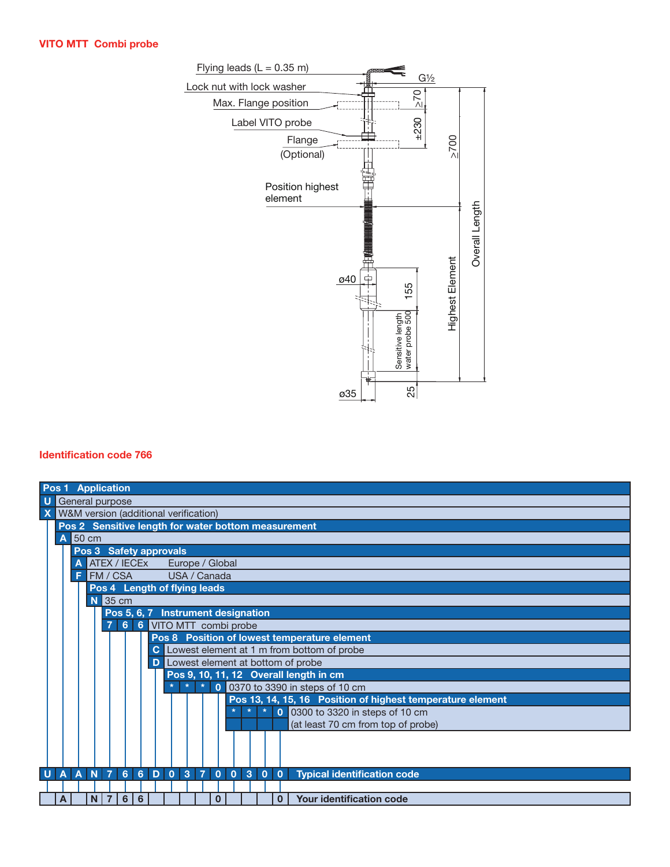## **VITO MTT Combi probe**



## **Identification code 766**

| <b>Pos 1 Application</b>                                                                                                          |  |  |  |  |  |  |  |  |
|-----------------------------------------------------------------------------------------------------------------------------------|--|--|--|--|--|--|--|--|
| $\mathbf U$                                                                                                                       |  |  |  |  |  |  |  |  |
| General purpose                                                                                                                   |  |  |  |  |  |  |  |  |
| <b>X</b> W&M version (additional verification)                                                                                    |  |  |  |  |  |  |  |  |
| Pos 2 Sensitive length for water bottom measurement                                                                               |  |  |  |  |  |  |  |  |
| $A$ 50 cm                                                                                                                         |  |  |  |  |  |  |  |  |
| Pos 3 Safety approvals                                                                                                            |  |  |  |  |  |  |  |  |
| A ATEX / IECEX<br>Europe / Global                                                                                                 |  |  |  |  |  |  |  |  |
| FM / CSA<br>USA / Canada<br>F                                                                                                     |  |  |  |  |  |  |  |  |
| Pos 4 Length of flying leads                                                                                                      |  |  |  |  |  |  |  |  |
| $N$ 35 cm                                                                                                                         |  |  |  |  |  |  |  |  |
| Pos 5, 6, 7 Instrument designation                                                                                                |  |  |  |  |  |  |  |  |
| 7 6 6 VITO MTT combi probe                                                                                                        |  |  |  |  |  |  |  |  |
| Pos 8 Position of lowest temperature element                                                                                      |  |  |  |  |  |  |  |  |
| C Lowest element at 1 m from bottom of probe                                                                                      |  |  |  |  |  |  |  |  |
| Lowest element at bottom of probe                                                                                                 |  |  |  |  |  |  |  |  |
| Pos 9, 10, 11, 12 Overall length in cm                                                                                            |  |  |  |  |  |  |  |  |
| $\parallel$ * 0 0370 to 3390 in steps of 10 cm<br>$\star$                                                                         |  |  |  |  |  |  |  |  |
| Pos 13, 14, 15, 16 Position of highest temperature element                                                                        |  |  |  |  |  |  |  |  |
| $\mathbf{0}$<br>0300 to 3320 in steps of 10 cm<br>$\star$<br>$\star$                                                              |  |  |  |  |  |  |  |  |
| (at least 70 cm from top of probe)                                                                                                |  |  |  |  |  |  |  |  |
|                                                                                                                                   |  |  |  |  |  |  |  |  |
|                                                                                                                                   |  |  |  |  |  |  |  |  |
|                                                                                                                                   |  |  |  |  |  |  |  |  |
| U A A N 7 6 6 D 0 3 7<br>3<br>$\bullet$<br>$\mathbf{0}$<br>$\overline{0}$<br>$\overline{0}$<br><b>Typical identification code</b> |  |  |  |  |  |  |  |  |
|                                                                                                                                   |  |  |  |  |  |  |  |  |
| $\overline{7}$<br>$6 \mid$<br>$6\phantom{1}6$<br><b>Your identification code</b><br>N.<br>0<br>0<br>Α                             |  |  |  |  |  |  |  |  |